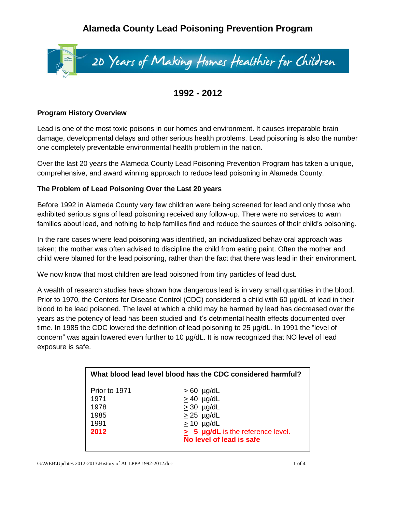# **Alameda County Lead Poisoning Prevention Program**



# **1992 - 2012**

#### **Program History Overview**

Lead is one of the most toxic poisons in our homes and environment. It causes irreparable brain damage, developmental delays and other serious health problems. Lead poisoning is also the number one completely preventable environmental health problem in the nation.

Over the last 20 years the Alameda County Lead Poisoning Prevention Program has taken a unique, comprehensive, and award winning approach to reduce lead poisoning in Alameda County.

## **The Problem of Lead Poisoning Over the Last 20 years**

Before 1992 in Alameda County very few children were being screened for lead and only those who exhibited serious signs of lead poisoning received any follow-up. There were no services to warn families about lead, and nothing to help families find and reduce the sources of their child's poisoning.

In the rare cases where lead poisoning was identified, an individualized behavioral approach was taken; the mother was often advised to discipline the child from eating paint. Often the mother and child were blamed for the lead poisoning, rather than the fact that there was lead in their environment.

We now know that most children are lead poisoned from tiny particles of lead dust.

A wealth of research studies have shown how dangerous lead is in very small quantities in the blood. Prior to 1970, the Centers for Disease Control (CDC) considered a child with 60  $\mu q/dL$  of lead in their blood to be lead poisoned. The level at which a child may be harmed by lead has decreased over the years as the potency of lead has been studied and it's detrimental health effects documented over time. In 1985 the CDC lowered the definition of lead poisoning to 25 µg/dL. In 1991 the "level of concern" was again lowered even further to 10 µg/dL. It is now recognized that NO level of lead exposure is safe.

| What blood lead level blood has the CDC considered harmful? |                                                                                                                                                        |
|-------------------------------------------------------------|--------------------------------------------------------------------------------------------------------------------------------------------------------|
| Prior to 1971<br>1971<br>1978<br>1985<br>1991<br>2012       | $\geq 60$ µg/dL<br>$> 40$ µg/dL<br>$\geq$ 30 µg/dL<br>$\geq$ 25 µg/dL<br>$> 10$ µg/dL<br>> 5 µg/dL is the reference level.<br>No level of lead is safe |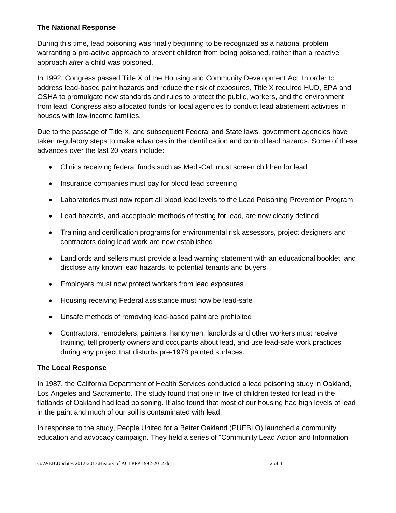#### **The National Response**

During this time, lead poisoning was finally beginning to be recognized as a national problem warranting a pro-active approach to prevent children from being poisoned, rather than a reactive approach *after* a child was poisoned.

In 1992, Congress passed Title X of the Housing and Community Development Act. In order to address lead-based paint hazards and reduce the risk of exposures, Title X required HUD, EPA and OSHA to promulgate new standards and rules to protect the public, workers, and the environment from lead. Congress also allocated funds for local agencies to conduct lead abatement activities in houses with low-income families.

Due to the passage of Title X, and subsequent Federal and State laws, government agencies have taken regulatory steps to make advances in the identification and control lead hazards. Some of these advances over the last 20 years include:

- Clinics receiving federal funds such as Medi-Cal, must screen children for lead
- Insurance companies must pay for blood lead screening
- Laboratories must now report all blood lead levels to the Lead Poisoning Prevention Program
- Lead hazards, and acceptable methods of testing for lead, are now clearly defined
- Training and certification programs for environmental risk assessors, project designers and contractors doing lead work are now established
- Landlords and sellers must provide a lead warning statement with an educational booklet, and disclose any known lead hazards, to potential tenants and buyers
- Employers must now protect workers from lead exposures
- Housing receiving Federal assistance must now be lead-safe
- Unsafe methods of removing lead-based paint are prohibited
- Contractors, remodelers, painters, handymen, landlords and other workers must receive training, tell property owners and occupants about lead, and use lead-safe work practices during any project that disturbs pre-1978 painted surfaces.

## **The Local Response**

In 1987, the California Department of Health Services conducted a lead poisoning study in Oakland, Los Angeles and Sacramento. The study found that one in five of children tested for lead in the flatlands of Oakland had lead poisoning. It also found that most of our housing had high levels of lead in the paint and much of our soil is contaminated with lead.

In response to the study, People United for a Better Oakland (PUEBLO) launched a community education and advocacy campaign. They held a series of "Community Lead Action and Information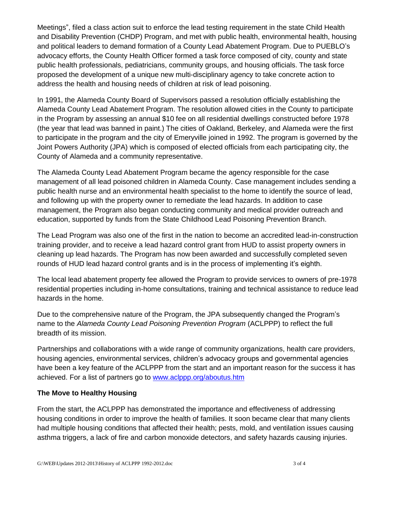Meetings", filed a class action suit to enforce the lead testing requirement in the state Child Health and Disability Prevention (CHDP) Program, and met with public health, environmental health, housing and political leaders to demand formation of a County Lead Abatement Program. Due to PUEBLO's advocacy efforts, the County Health Officer formed a task force composed of city, county and state public health professionals, pediatricians, community groups, and housing officials. The task force proposed the development of a unique new multi-disciplinary agency to take concrete action to address the health and housing needs of children at risk of lead poisoning.

In 1991, the Alameda County Board of Supervisors passed a resolution officially establishing the Alameda County Lead Abatement Program. The resolution allowed cities in the County to participate in the Program by assessing an annual \$10 fee on all residential dwellings constructed before 1978 (the year that lead was banned in paint.) The cities of Oakland, Berkeley, and Alameda were the first to participate in the program and the city of Emeryville joined in 1992. The program is governed by the Joint Powers Authority (JPA) which is composed of elected officials from each participating city, the County of Alameda and a community representative.

The Alameda County Lead Abatement Program became the agency responsible for the case management of all lead poisoned children in Alameda County. Case management includes sending a public health nurse and an environmental health specialist to the home to identify the source of lead, and following up with the property owner to remediate the lead hazards. In addition to case management, the Program also began conducting community and medical provider outreach and education, supported by funds from the State Childhood Lead Poisoning Prevention Branch.

The Lead Program was also one of the first in the nation to become an accredited lead-in-construction training provider, and to receive a lead hazard control grant from HUD to assist property owners in cleaning up lead hazards. The Program has now been awarded and successfully completed seven rounds of HUD lead hazard control grants and is in the process of implementing it's eighth.

The local lead abatement property fee allowed the Program to provide services to owners of pre-1978 residential properties including in-home consultations, training and technical assistance to reduce lead hazards in the home.

Due to the comprehensive nature of the Program, the JPA subsequently changed the Program's name to the *Alameda County Lead Poisoning Prevention Program* (ACLPPP) to reflect the full breadth of its mission.

Partnerships and collaborations with a wide range of community organizations, health care providers, housing agencies, environmental services, children's advocacy groups and governmental agencies have been a key feature of the ACLPPP from the start and an important reason for the success it has achieved. For a list of partners go to [www.aclppp.org/aboutus.htm](http://www.aclppp.org/aboutus.htm)

#### **The Move to Healthy Housing**

From the start, the ACLPPP has demonstrated the importance and effectiveness of addressing housing conditions in order to improve the health of families. It soon became clear that many clients had multiple housing conditions that affected their health; pests, mold, and ventilation issues causing asthma triggers, a lack of fire and carbon monoxide detectors, and safety hazards causing injuries.